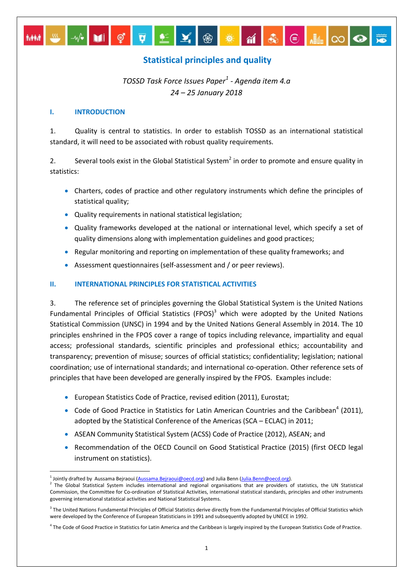# **Statistical principles and quality**

<u>₩</u>│**M**│Ç│Ç│∑│≚│X│⊛│<del>▓</del>│@│ଈ│⊝│▒│∞│⊙

# *TOSSD Task Force Issues Paper<sup>1</sup> - Agenda item 4.a 24 – 25 January 2018*

# **I. INTRODUCTION**

1. Quality is central to statistics. In order to establish TOSSD as an international statistical standard, it will need to be associated with robust quality requirements.

2. Several tools exist in the Global Statistical System<sup>2</sup> in order to promote and ensure quality in statistics:

- Charters, codes of practice and other regulatory instruments which define the principles of statistical quality;
- Quality requirements in national statistical legislation;
- Quality frameworks developed at the national or international level, which specify a set of quality dimensions along with implementation guidelines and good practices;
- Regular monitoring and reporting on implementation of these quality frameworks; and
- Assessment questionnaires (self-assessment and / or peer reviews).

# **II. INTERNATIONAL PRINCIPLES FOR STATISTICAL ACTIVITIES**

3. The reference set of principles governing the Global Statistical System is the United Nations Fundamental Principles of Official Statistics (FPOS) $3$  which were adopted by the United Nations Statistical Commission (UNSC) in 1994 and by the United Nations General Assembly in 2014. The 10 principles enshrined in the FPOS cover a range of topics including relevance, impartiality and equal access; professional standards, scientific principles and professional ethics; accountability and transparency; prevention of misuse; sources of official statistics; confidentiality; legislation; national coordination; use of international standards; and international co-operation. Other reference sets of principles that have been developed are generally inspired by the FPOS. Examples include:

- European Statistics Code of Practice, revised edition (2011), Eurostat;
- Code of Good Practice in Statistics for Latin American Countries and the Caribbean<sup>4</sup> (2011), adopted by the Statistical Conference of the Americas (SCA – ECLAC) in 2011;
- ASEAN Community Statistical System (ACSS) Code of Practice (2012), ASEAN; and
- Recommendation of the OECD Council on Good Statistical Practice (2015) (first OECD legal instrument on statistics).

**<sup>.</sup>** <sup>1</sup> Jointly drafted by Aussama Bejraoui [\(Aussama.Bejraoui@oecd.org\)](mailto:Aussama.Bejraoui@oecd.org) and Julia Benn [\(Julia.Benn@oecd.org\)](mailto:Julia.Benn@oecd.org).

 $^2$  The Global Statistical System includes international and regional organisations that are providers of statistics, the UN Statistical Commission, the Committee for Co-ordination of Statistical Activities, international statistical standards, principles and other instruments governing international statistical activities and National Statistical Systems.

 $3$  The United Nations Fundamental Principles of Official Statistics derive directly from the Fundamental Principles of Official Statistics which were developed by the Conference of European Statisticians in 1991 and subsequently adopted by UNECE in 1992.

<sup>&</sup>lt;sup>4</sup> The Code of Good Practice in Statistics for Latin America and the Caribbean is largely inspired by the European Statistics Code of Practice.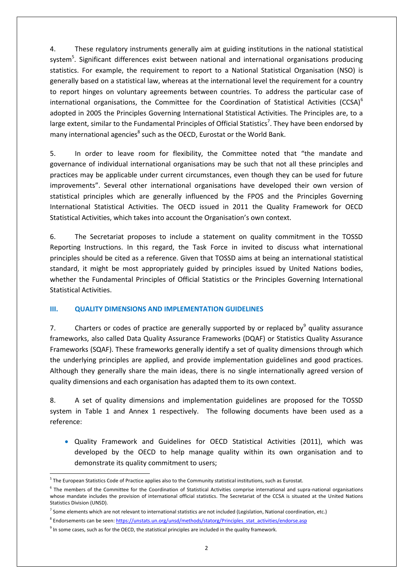4. These regulatory instruments generally aim at guiding institutions in the national statistical system<sup>5</sup>. Significant differences exist between national and international organisations producing statistics. For example, the requirement to report to a National Statistical Organisation (NSO) is generally based on a statistical law, whereas at the international level the requirement for a country to report hinges on voluntary agreements between countries. To address the particular case of international organisations, the Committee for the Coordination of Statistical Activities (CCSA)<sup>6</sup> adopted in 2005 the Principles Governing International Statistical Activities. The Principles are, to a large extent, similar to the Fundamental Principles of Official Statistics<sup>7</sup>. They have been endorsed by many international agencies<sup>8</sup> such as the OECD, Eurostat or the World Bank.

5. In order to leave room for flexibility, the Committee noted that "the mandate and governance of individual international organisations may be such that not all these principles and practices may be applicable under current circumstances, even though they can be used for future improvements". Several other international organisations have developed their own version of statistical principles which are generally influenced by the FPOS and the Principles Governing International Statistical Activities. The OECD issued in 2011 the Quality Framework for OECD Statistical Activities, which takes into account the Organisation's own context.

6. The Secretariat proposes to include a statement on quality commitment in the TOSSD Reporting Instructions. In this regard, the Task Force in invited to discuss what international principles should be cited as a reference. Given that TOSSD aims at being an international statistical standard, it might be most appropriately guided by principles issued by United Nations bodies, whether the Fundamental Principles of Official Statistics or the Principles Governing International Statistical Activities.

# **III. QUALITY DIMENSIONS AND IMPLEMENTATION GUIDELINES**

7. Charters or codes of practice are generally supported by or replaced by quality assurance frameworks, also called Data Quality Assurance Frameworks (DQAF) or Statistics Quality Assurance Frameworks (SQAF). These frameworks generally identify a set of quality dimensions through which the underlying principles are applied, and provide implementation guidelines and good practices. Although they generally share the main ideas, there is no single internationally agreed version of quality dimensions and each organisation has adapted them to its own context.

8. A set of quality dimensions and implementation guidelines are proposed for the TOSSD system in Table 1 and Annex 1 respectively. The following documents have been used as a reference:

 Quality Framework and Guidelines for OECD Statistical Activities (2011), which was developed by the OECD to help manage quality within its own organisation and to demonstrate its quality commitment to users;

 5 The European Statistics Code of Practice applies also to the Community statistical institutions, such as Eurostat.

<sup>&</sup>lt;sup>6</sup> The members of the Committee for the Coordination of Statistical Activities comprise international and supra-national organisations whose mandate includes the provision of international official statistics. The Secretariat of the CCSA is situated at the United Nations Statistics Division (UNSD).

<sup>&</sup>lt;sup>7</sup> Some elements which are not relevant to international statistics are not included (Legislation, National coordination, etc.)

<sup>&</sup>lt;sup>8</sup> Endorsements can be seen[: https://unstats.un.org/unsd/methods/statorg/Principles\\_stat\\_activities/endorse.asp](https://unstats.un.org/unsd/methods/statorg/Principles_stat_activities/endorse.asp)

 $9$  In some cases, such as for the OECD, the statistical principles are included in the quality framework.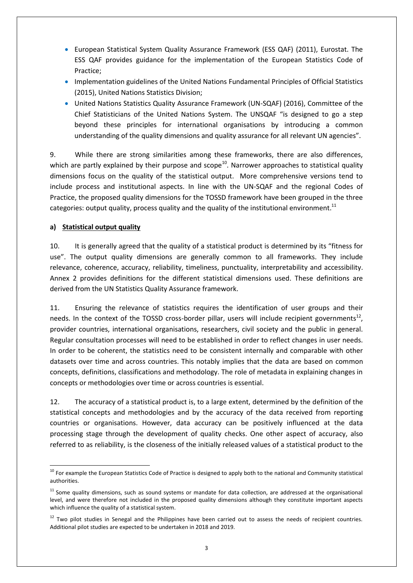- European Statistical System Quality Assurance Framework (ESS QAF) (2011), Eurostat. The ESS QAF provides guidance for the implementation of the European Statistics Code of Practice;
- Implementation guidelines of the United Nations Fundamental Principles of Official Statistics (2015), United Nations Statistics Division;
- United Nations Statistics Quality Assurance Framework (UN-SQAF) (2016), Committee of the Chief Statisticians of the United Nations System. The UNSQAF "is designed to go a step beyond these principles for international organisations by introducing a common understanding of the quality dimensions and quality assurance for all relevant UN agencies".

9. While there are strong similarities among these frameworks, there are also differences, which are partly explained by their purpose and scope<sup>10</sup>. Narrower approaches to statistical quality dimensions focus on the quality of the statistical output. More comprehensive versions tend to include process and institutional aspects. In line with the UN-SQAF and the regional Codes of Practice, the proposed quality dimensions for the TOSSD framework have been grouped in the three categories: output quality, process quality and the quality of the institutional environment.<sup>11</sup>

# **a) Statistical output quality**

10. It is generally agreed that the quality of a statistical product is determined by its "fitness for use". The output quality dimensions are generally common to all frameworks. They include relevance, coherence, accuracy, reliability, timeliness, punctuality, interpretability and accessibility. Annex 2 provides definitions for the different statistical dimensions used. These definitions are derived from the UN Statistics Quality Assurance framework.

11. Ensuring the relevance of statistics requires the identification of user groups and their needs. In the context of the TOSSD cross-border pillar, users will include recipient governments $^{12}$ , provider countries, international organisations, researchers, civil society and the public in general. Regular consultation processes will need to be established in order to reflect changes in user needs. In order to be coherent, the statistics need to be consistent internally and comparable with other datasets over time and across countries. This notably implies that the data are based on common concepts, definitions, classifications and methodology. The role of metadata in explaining changes in concepts or methodologies over time or across countries is essential.

12. The accuracy of a statistical product is, to a large extent, determined by the definition of the statistical concepts and methodologies and by the accuracy of the data received from reporting countries or organisations. However, data accuracy can be positively influenced at the data processing stage through the development of quality checks. One other aspect of accuracy, also referred to as reliability, is the closeness of the initially released values of a statistical product to the

<sup>1</sup> <sup>10</sup> For example the European Statistics Code of Practice is designed to apply both to the national and Community statistical authorities.

 $11$  Some quality dimensions, such as sound systems or mandate for data collection, are addressed at the organisational level, and were therefore not included in the proposed quality dimensions although they constitute important aspects which influence the quality of a statistical system.

<sup>&</sup>lt;sup>12</sup> Two pilot studies in Senegal and the Philippines have been carried out to assess the needs of recipient countries. Additional pilot studies are expected to be undertaken in 2018 and 2019.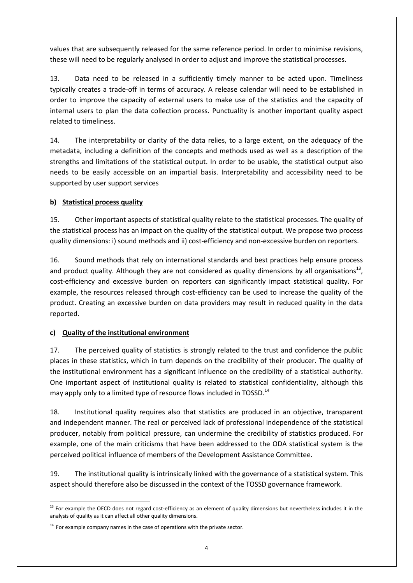values that are subsequently released for the same reference period. In order to minimise revisions, these will need to be regularly analysed in order to adjust and improve the statistical processes.

13. Data need to be released in a sufficiently timely manner to be acted upon. Timeliness typically creates a trade-off in terms of accuracy. A release calendar will need to be established in order to improve the capacity of external users to make use of the statistics and the capacity of internal users to plan the data collection process. Punctuality is another important quality aspect related to timeliness.

14. The interpretability or clarity of the data relies, to a large extent, on the adequacy of the metadata, including a definition of the concepts and methods used as well as a description of the strengths and limitations of the statistical output. In order to be usable, the statistical output also needs to be easily accessible on an impartial basis. Interpretability and accessibility need to be supported by user support services

# **b) Statistical process quality**

15. Other important aspects of statistical quality relate to the statistical processes. The quality of the statistical process has an impact on the quality of the statistical output. We propose two process quality dimensions: i) sound methods and ii) cost-efficiency and non-excessive burden on reporters.

16. Sound methods that rely on international standards and best practices help ensure process and product quality. Although they are not considered as quality dimensions by all organisations<sup>13</sup>, cost-efficiency and excessive burden on reporters can significantly impact statistical quality. For example, the resources released through cost-efficiency can be used to increase the quality of the product. Creating an excessive burden on data providers may result in reduced quality in the data reported.

# **c) Quality of the institutional environment**

17. The perceived quality of statistics is strongly related to the trust and confidence the public places in these statistics, which in turn depends on the credibility of their producer. The quality of the institutional environment has a significant influence on the credibility of a statistical authority. One important aspect of institutional quality is related to statistical confidentiality, although this may apply only to a limited type of resource flows included in TOSSD.<sup>14</sup>

18. Institutional quality requires also that statistics are produced in an objective, transparent and independent manner. The real or perceived lack of professional independence of the statistical producer, notably from political pressure, can undermine the credibility of statistics produced. For example, one of the main criticisms that have been addressed to the ODA statistical system is the perceived political influence of members of the Development Assistance Committee.

19. The institutional quality is intrinsically linked with the governance of a statistical system. This aspect should therefore also be discussed in the context of the TOSSD governance framework.

<sup>1</sup>  $13$  For example the OECD does not regard cost-efficiency as an element of quality dimensions but nevertheless includes it in the analysis of quality as it can affect all other quality dimensions.

 $14$  For example company names in the case of operations with the private sector.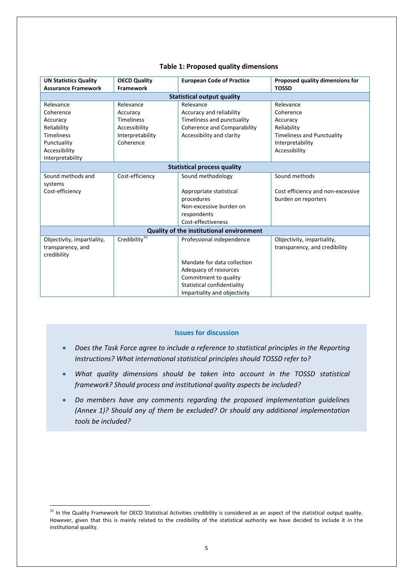| <b>UN Statistics Quality</b>                    | <b>OECD Quality</b>       | <b>European Code of Practice</b>   | Proposed quality dimensions for   |  |  |  |  |
|-------------------------------------------------|---------------------------|------------------------------------|-----------------------------------|--|--|--|--|
| <b>Assurance Framework</b>                      | <b>Framework</b>          |                                    | <b>TOSSD</b>                      |  |  |  |  |
| <b>Statistical output quality</b>               |                           |                                    |                                   |  |  |  |  |
| Relevance                                       | Relevance                 | Relevance                          | Relevance                         |  |  |  |  |
| Coherence                                       | Accuracy                  | Accuracy and reliability           | Coherence                         |  |  |  |  |
| Accuracy                                        | <b>Timeliness</b>         | Timeliness and punctuality         | Accuracy                          |  |  |  |  |
| Reliability                                     | Accessibility             | <b>Coherence and Comparability</b> | Reliability                       |  |  |  |  |
| <b>Timeliness</b>                               | Interpretability          | Accessibility and clarity          | <b>Timeliness and Punctuality</b> |  |  |  |  |
| Punctuality                                     | Coherence                 |                                    | Interpretability                  |  |  |  |  |
| Accessibility                                   |                           |                                    | Accessibility                     |  |  |  |  |
| Interpretability                                |                           |                                    |                                   |  |  |  |  |
| <b>Statistical process quality</b>              |                           |                                    |                                   |  |  |  |  |
| Sound methods and                               | Cost-efficiency           | Sound methodology                  | Sound methods                     |  |  |  |  |
| systems                                         |                           |                                    |                                   |  |  |  |  |
| Cost-efficiency                                 |                           | Appropriate statistical            | Cost efficiency and non-excessive |  |  |  |  |
|                                                 |                           | procedures                         | burden on reporters               |  |  |  |  |
|                                                 |                           | Non-excessive burden on            |                                   |  |  |  |  |
|                                                 |                           | respondents                        |                                   |  |  |  |  |
|                                                 |                           | Cost-effectiveness                 |                                   |  |  |  |  |
| <b>Quality of the institutional environment</b> |                           |                                    |                                   |  |  |  |  |
| Objectivity, impartiality,                      | Credibility <sup>15</sup> | Professional independence          | Objectivity, impartiality,        |  |  |  |  |
| transparency, and                               |                           |                                    | transparency, and credibility     |  |  |  |  |
| credibility                                     |                           |                                    |                                   |  |  |  |  |
|                                                 |                           | Mandate for data collection        |                                   |  |  |  |  |
|                                                 |                           | Adequacy of resources              |                                   |  |  |  |  |
|                                                 |                           | Commitment to quality              |                                   |  |  |  |  |
|                                                 |                           | Statistical confidentiality        |                                   |  |  |  |  |
|                                                 |                           | Impartiality and objectivity       |                                   |  |  |  |  |

# **Table 1: Proposed quality dimensions**

### **Issues for discussion**

- *Does the Task Force agree to include a reference to statistical principles in the Reporting Instructions? What international statistical principles should TOSSD refer to?*
- *What quality dimensions should be taken into account in the TOSSD statistical framework? Should process and institutional quality aspects be included?*
- *Do members have any comments regarding the proposed implementation guidelines (Annex 1)? Should any of them be excluded? Or should any additional implementation tools be included?*

1

<sup>&</sup>lt;sup>15</sup> In the Quality Framework for OECD Statistical Activities credibility is considered as an aspect of the statistical output quality. However, given that this is mainly related to the credibility of the statistical authority we have decided to include it in the institutional quality.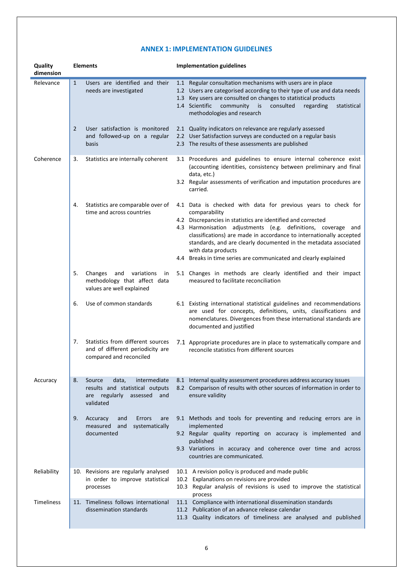# **ANNEX 1: IMPLEMENTATION GUIDELINES**

| Quality<br>dimension | <b>Elements</b> |                                                                                                                  | <b>Implementation guidelines</b> |                                                                                                                                                                                                                                                                                                                                                                                                                                                      |  |
|----------------------|-----------------|------------------------------------------------------------------------------------------------------------------|----------------------------------|------------------------------------------------------------------------------------------------------------------------------------------------------------------------------------------------------------------------------------------------------------------------------------------------------------------------------------------------------------------------------------------------------------------------------------------------------|--|
| Relevance            | $\mathbf{1}$    | Users are identified and their<br>needs are investigated                                                         |                                  | 1.1 Regular consultation mechanisms with users are in place<br>1.2 Users are categorised according to their type of use and data needs<br>1.3 Key users are consulted on changes to statistical products<br>1.4 Scientific<br>community<br>is<br>consulted<br>regarding<br>statistical<br>methodologies and research                                                                                                                                 |  |
|                      | $\overline{2}$  | User satisfaction is monitored<br>and followed-up on a regular<br>basis                                          |                                  | 2.1 Quality indicators on relevance are regularly assessed<br>2.2 User Satisfaction surveys are conducted on a regular basis<br>2.3 The results of these assessments are published                                                                                                                                                                                                                                                                   |  |
| Coherence            | 3.              | Statistics are internally coherent                                                                               |                                  | 3.1 Procedures and guidelines to ensure internal coherence exist<br>(accounting identities, consistency between preliminary and final<br>data, etc.)<br>3.2 Regular assessments of verification and imputation procedures are<br>carried.                                                                                                                                                                                                            |  |
|                      | 4.              | Statistics are comparable over of<br>time and across countries                                                   |                                  | 4.1 Data is checked with data for previous years to check for<br>comparability<br>4.2 Discrepancies in statistics are identified and corrected<br>4.3 Harmonisation adjustments (e.g. definitions, coverage and<br>classifications) are made in accordance to internationally accepted<br>standards, and are clearly documented in the metadata associated<br>with data products<br>4.4 Breaks in time series are communicated and clearly explained |  |
|                      | 5.              | Changes<br>variations<br>and<br>in<br>methodology that affect data<br>values are well explained                  |                                  | 5.1 Changes in methods are clearly identified and their impact<br>measured to facilitate reconciliation                                                                                                                                                                                                                                                                                                                                              |  |
|                      | 6.              | Use of common standards                                                                                          |                                  | 6.1 Existing international statistical guidelines and recommendations<br>are used for concepts, definitions, units, classifications and<br>nomenclatures. Divergences from these international standards are<br>documented and justified                                                                                                                                                                                                             |  |
|                      | 7.              | Statistics from different sources<br>and of different periodicity are<br>compared and reconciled                 |                                  | 7.1 Appropriate procedures are in place to systematically compare and<br>reconcile statistics from different sources                                                                                                                                                                                                                                                                                                                                 |  |
| Accuracy             | 8.              | Source<br>data,<br>intermediate<br>results and statistical outputs<br>are regularly assessed<br>and<br>validated |                                  | 8.1 Internal quality assessment procedures address accuracy issues<br>8.2 Comparison of results with other sources of information in order to<br>ensure validity                                                                                                                                                                                                                                                                                     |  |
|                      | 9.              | Accuracy<br>Errors<br>and<br>are<br>systematically<br>measured<br>and<br>documented                              |                                  | 9.1 Methods and tools for preventing and reducing errors are in<br>implemented<br>9.2 Regular quality reporting on accuracy is implemented and<br>published<br>9.3 Variations in accuracy and coherence over time and across<br>countries are communicated.                                                                                                                                                                                          |  |
| Reliability          |                 | 10. Revisions are regularly analysed<br>in order to improve statistical<br>processes                             |                                  | 10.1 A revision policy is produced and made public<br>10.2 Explanations on revisions are provided<br>10.3 Regular analysis of revisions is used to improve the statistical<br>process                                                                                                                                                                                                                                                                |  |
| <b>Timeliness</b>    |                 | 11. Timeliness follows international<br>dissemination standards                                                  |                                  | 11.1 Compliance with international dissemination standards<br>11.2 Publication of an advance release calendar<br>11.3 Quality indicators of timeliness are analysed and published                                                                                                                                                                                                                                                                    |  |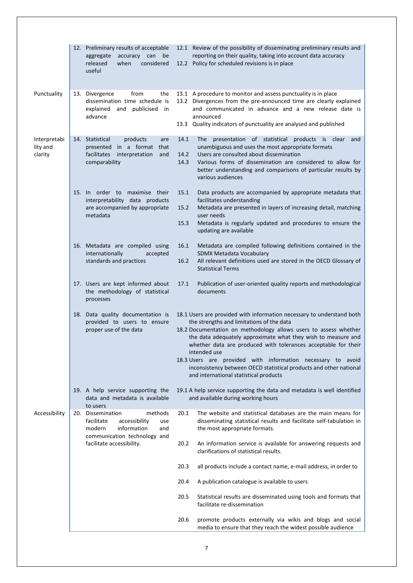|                                     | 12. Preliminary results of acceptable<br>accuracy can<br>be<br>aggregate<br>released<br>considered<br>when<br>useful                                            |                      | 12.1 Review of the possibility of disseminating preliminary results and<br>reporting on their quality, taking into account data accuracy<br>12.2 Policy for scheduled revisions is in place                                                                                                                                                                                                                                                                                                                              |
|-------------------------------------|-----------------------------------------------------------------------------------------------------------------------------------------------------------------|----------------------|--------------------------------------------------------------------------------------------------------------------------------------------------------------------------------------------------------------------------------------------------------------------------------------------------------------------------------------------------------------------------------------------------------------------------------------------------------------------------------------------------------------------------|
|                                     |                                                                                                                                                                 |                      |                                                                                                                                                                                                                                                                                                                                                                                                                                                                                                                          |
| Punctuality                         | from<br>13. Divergence<br>the<br>dissemination time schedule is<br>and publicised<br>explained<br>in in<br>advance                                              |                      | 13.1 A procedure to monitor and assess punctuality is in place<br>13.2 Divergences from the pre-announced time are clearly explained<br>and communicated in advance and a new release date is<br>announced<br>13.3 Quality indicators of punctuality are analysed and published                                                                                                                                                                                                                                          |
|                                     |                                                                                                                                                                 |                      |                                                                                                                                                                                                                                                                                                                                                                                                                                                                                                                          |
| Interpretabi<br>lity and<br>clarity | 14. Statistical<br>products<br>are<br>in a format<br>presented<br>that<br>facilitates<br>interpretation<br>and<br>comparability                                 | 14.1<br>14.2<br>14.3 | The presentation of statistical products is clear<br>and<br>unambiguous and uses the most appropriate formats<br>Users are consulted about dissemination<br>Various forms of dissemination are considered to allow for<br>better understanding and comparisons of particular results by<br>various audiences                                                                                                                                                                                                             |
|                                     | 15. In order to maximise their<br>interpretability data products                                                                                                | 15.1                 | Data products are accompanied by appropriate metadata that<br>facilitates understanding                                                                                                                                                                                                                                                                                                                                                                                                                                  |
|                                     | are accompanied by appropriate                                                                                                                                  | 15.2                 | Metadata are presented in layers of increasing detail, matching                                                                                                                                                                                                                                                                                                                                                                                                                                                          |
|                                     | metadata                                                                                                                                                        | 15.3                 | user needs<br>Metadata is regularly updated and procedures to ensure the<br>updating are available                                                                                                                                                                                                                                                                                                                                                                                                                       |
|                                     | 16. Metadata are compiled using<br>internationally<br>accepted                                                                                                  | 16.1                 | Metadata are compiled following definitions contained in the<br>SDMX Metadata Vocabulary                                                                                                                                                                                                                                                                                                                                                                                                                                 |
|                                     | standards and practices                                                                                                                                         | 16.2                 | All relevant definitions used are stored in the OECD Glossary of<br><b>Statistical Terms</b>                                                                                                                                                                                                                                                                                                                                                                                                                             |
|                                     | 17. Users are kept informed about<br>the methodology of statistical<br>processes                                                                                | 17.1                 | Publication of user-oriented quality reports and methodological<br>documents                                                                                                                                                                                                                                                                                                                                                                                                                                             |
|                                     | 18. Data quality documentation is<br>provided to users to ensure<br>proper use of the data                                                                      |                      | 18.1 Users are provided with information necessary to understand both<br>the strengths and limitations of the data<br>18.2 Documentation on methodology allows users to assess whether<br>the data adequately approximate what they wish to measure and<br>whether data are produced with tolerances acceptable for their<br>intended use<br>18.3 Users are provided with information necessary to avoid<br>inconsistency between OECD statistical products and other national<br>and international statistical products |
|                                     | 19. A help service supporting the<br>data and metadata is available<br>to users                                                                                 |                      | 19.1 A help service supporting the data and metadata is well identified<br>and available during working hours                                                                                                                                                                                                                                                                                                                                                                                                            |
| Accessibility                       | methods<br>20. Dissemination<br>facilitate<br>accessibility<br>use<br>information<br>modern<br>and<br>communication technology and<br>facilitate accessibility. | 20.1                 | The website and statistical databases are the main means for<br>disseminating statistical results and facilitate self-tabulation in<br>the most appropriate formats.                                                                                                                                                                                                                                                                                                                                                     |
|                                     |                                                                                                                                                                 | 20.2                 | An information service is available for answering requests and<br>clarifications of statistical results.                                                                                                                                                                                                                                                                                                                                                                                                                 |
|                                     |                                                                                                                                                                 | 20.3                 | all products include a contact name, e-mail address, in order to                                                                                                                                                                                                                                                                                                                                                                                                                                                         |
|                                     |                                                                                                                                                                 | 20.4                 | A publication catalogue is available to users                                                                                                                                                                                                                                                                                                                                                                                                                                                                            |
|                                     |                                                                                                                                                                 | 20.5                 | Statistical results are disseminated using tools and formats that<br>facilitate re-dissemination                                                                                                                                                                                                                                                                                                                                                                                                                         |
|                                     |                                                                                                                                                                 | 20.6                 | promote products externally via wikis and blogs and social<br>media to ensure that they reach the widest possible audience                                                                                                                                                                                                                                                                                                                                                                                               |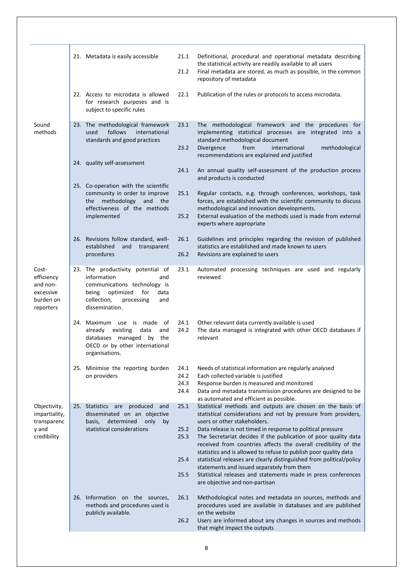|                                                                        | 21. Metadata is easily accessible                                                                                                                                                  | 21.1<br>21.2                 | Definitional, procedural and operational metadata describing<br>the statistical activity are readily available to all users<br>Final metadata are stored, as much as possible, in the common                                                                         |
|------------------------------------------------------------------------|------------------------------------------------------------------------------------------------------------------------------------------------------------------------------------|------------------------------|----------------------------------------------------------------------------------------------------------------------------------------------------------------------------------------------------------------------------------------------------------------------|
|                                                                        |                                                                                                                                                                                    |                              | repository of metadata                                                                                                                                                                                                                                               |
|                                                                        | 22. Access to microdata is allowed<br>for research purposes and is<br>subject to specific rules                                                                                    | 22.1                         | Publication of the rules or protocols to access microdata.                                                                                                                                                                                                           |
| Sound<br>methods                                                       | 23. The methodological framework<br>follows<br>used<br>international<br>standards and good practices                                                                               | 23.1<br>23.2                 | The methodological framework and the procedures for<br>implementing statistical processes are integrated into a<br>standard methodological document<br>Divergence<br>from<br>international<br>methodological                                                         |
|                                                                        |                                                                                                                                                                                    |                              | recommendations are explained and justified                                                                                                                                                                                                                          |
|                                                                        | 24. quality self-assessment                                                                                                                                                        | 24.1                         | An annual quality self-assessment of the production process<br>and products is conducted                                                                                                                                                                             |
|                                                                        | 25. Co-operation with the scientific<br>community in order to improve<br>methodology<br>and the<br>the                                                                             | 25.1                         | Regular contacts, e.g. through conferences, workshops, task<br>forces, are established with the scientific community to discuss                                                                                                                                      |
|                                                                        | effectiveness of the methods<br>implemented                                                                                                                                        | 25.2                         | methodological and innovation developments.<br>External evaluation of the methods used is made from external<br>experts where appropriate                                                                                                                            |
|                                                                        | 26. Revisions follow standard, well-                                                                                                                                               | 26.1                         | Guidelines and principles regarding the revision of published                                                                                                                                                                                                        |
|                                                                        | established<br>and<br>transparent<br>procedures                                                                                                                                    | 26.2                         | statistics are established and made known to users<br>Revisions are explained to users                                                                                                                                                                               |
| Cost-<br>efficiency<br>and non-<br>excessive<br>burden on<br>reporters | 23. The productivity potential of<br>information<br>and<br>communications technology is<br>optimized<br>being<br>for<br>data<br>collection,<br>processing<br>and<br>dissemination. | 23.1                         | Automated processing techniques are used and regularly<br>reviewed                                                                                                                                                                                                   |
|                                                                        | 24. Maximum use is made of<br>existing<br>data<br>already<br>and<br>databases managed by the<br>OECD or by other international<br>organisations.                                   | 24.1<br>24.2                 | Other relevant data currently available is used<br>The data managed is integrated with other OECD databases if<br>relevant                                                                                                                                           |
|                                                                        | 25. Minimise the reporting burden<br>on providers                                                                                                                                  | 24.1<br>24.2<br>24.3<br>24.4 | Needs of statistical information are regularly analysed<br>Each collected variable is justified<br>Response burden is measured and monitored<br>Data and metadata transmission procedures are designed to be<br>as automated and efficient as possible.              |
| Objectivity,<br>impartiality,<br>transparenc                           | 25. Statistics are<br>produced<br>and<br>disseminated on an objective<br>determined<br>only<br>basis,<br>by                                                                        | 25.1                         | Statistical methods and outputs are chosen on the basis of<br>statistical considerations and not by pressure from providers,<br>users or other stakeholders.                                                                                                         |
| y and<br>credibility                                                   | statistical considerations                                                                                                                                                         | 25.2<br>25.3                 | Data release is not timed in response to political pressure<br>The Secretariat decides if the publication of poor quality data<br>received from countries affects the overall credibility of the<br>statistics and is allowed to refuse to publish poor quality data |
|                                                                        |                                                                                                                                                                                    | 25.4                         | statistical releases are clearly distinguished from political/policy                                                                                                                                                                                                 |
|                                                                        |                                                                                                                                                                                    | 25.5                         | statements and issued separately from them<br>Statistical releases and statements made in press conferences<br>are objective and non-partisan                                                                                                                        |
|                                                                        | 26. Information on the sources,<br>methods and procedures used is<br>publicly available.                                                                                           | 26.1<br>26.2                 | Methodological notes and metadata on sources, methods and<br>procedures used are available in databases and are published<br>on the website<br>Users are informed about any changes in sources and methods                                                           |
|                                                                        |                                                                                                                                                                                    |                              | that might impact the outputs                                                                                                                                                                                                                                        |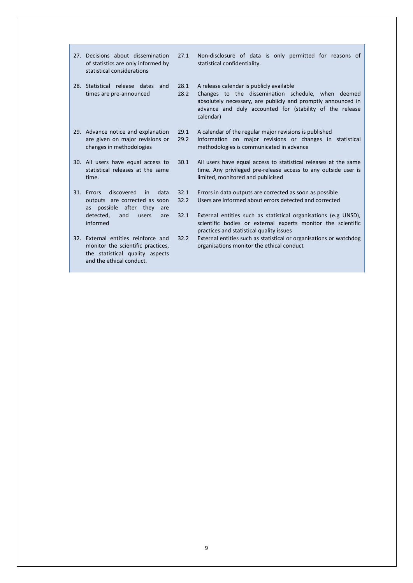| 27. Decisions about dissemination<br>of statistics are only informed by<br>statistical considerations                                                       | 27.1         | Non-disclosure of data is only permitted for reasons of<br>statistical confidentiality.                                                                                                                                                 |
|-------------------------------------------------------------------------------------------------------------------------------------------------------------|--------------|-----------------------------------------------------------------------------------------------------------------------------------------------------------------------------------------------------------------------------------------|
| 28. Statistical release dates and<br>times are pre-announced                                                                                                | 28.1<br>28.2 | A release calendar is publicly available<br>Changes to the dissemination schedule, when deemed<br>absolutely necessary, are publicly and promptly announced in<br>advance and duly accounted for (stability of the release<br>calendar) |
| 29. Advance notice and explanation<br>are given on major revisions or<br>changes in methodologies                                                           | 29.1<br>29.2 | A calendar of the regular major revisions is published<br>Information on major revisions or changes in statistical<br>methodologies is communicated in advance                                                                          |
| 30. All users have equal access to<br>statistical releases at the same<br>time.                                                                             | 30.1         | All users have equal access to statistical releases at the same<br>time. Any privileged pre-release access to any outside user is<br>limited, monitored and publicised                                                                  |
| discovered<br>31. Errors<br>data<br>in<br>outputs are corrected as soon<br>possible after they<br>as<br>are<br>detected,<br>and<br>users<br>are<br>informed | 32.1<br>32.2 | Errors in data outputs are corrected as soon as possible<br>Users are informed about errors detected and corrected                                                                                                                      |
|                                                                                                                                                             | 32.1         | External entities such as statistical organisations (e.g UNSD),<br>scientific bodies or external experts monitor the scientific<br>practices and statistical quality issues                                                             |
| 32. External entities reinforce and<br>monitor the scientific practices,<br>the statistical quality aspects<br>and the ethical conduct.                     | 32.2         | External entities such as statistical or organisations or watchdog<br>organisations monitor the ethical conduct                                                                                                                         |

Ĩ.